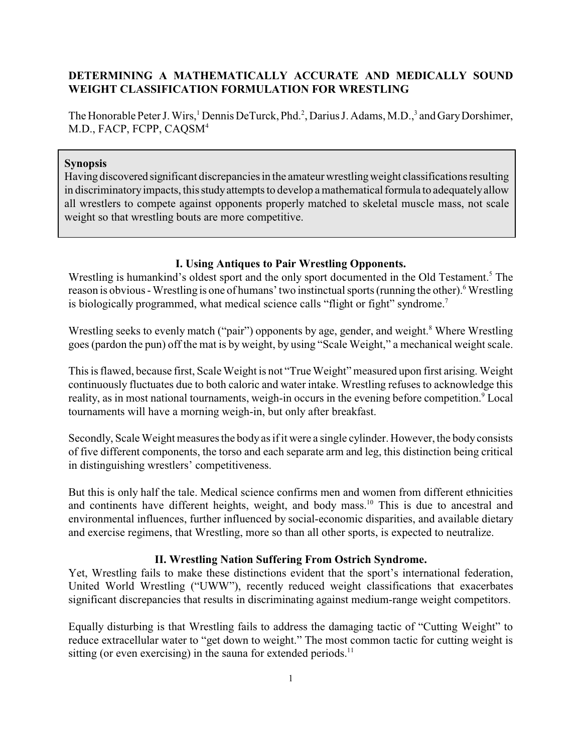# **DETERMINING A MATHEMATICALLY ACCURATE AND MEDICALLY SOUND WEIGHT CLASSIFICATION FORMULATION FOR WRESTLING**

The Honorable Peter J. Wirs,<sup>1</sup> Dennis DeTurck, Phd.<sup>2</sup>, Darius J. Adams, M.D.,<sup>3</sup> and Gary Dorshimer, M.D., FACP, FCPP, CAQSM<sup>4</sup>

### **Synopsis**

Having discovered significant discrepancies in the amateur wrestlingweight classifications resulting in discriminatoryimpacts, thisstudyattempts to develop a mathematical formula to adequatelyallow all wrestlers to compete against opponents properly matched to skeletal muscle mass, not scale weight so that wrestling bouts are more competitive.

## **I. Using Antiques to Pair Wrestling Opponents.**

Wrestling is humankind's oldest sport and the only sport documented in the Old Testament.<sup>5</sup> The reason is obvious - Wrestling is one of humans' two instinctual sports (running the other).<sup>6</sup> Wrestling is biologically programmed, what medical science calls "flight or fight" syndrome.<sup>7</sup>

Wrestling seeks to evenly match ("pair") opponents by age, gender, and weight.<sup>8</sup> Where Wrestling goes (pardon the pun) off the mat is by weight, by using "Scale Weight," a mechanical weight scale.

This is flawed, because first, Scale Weight is not "True Weight" measured upon first arising. Weight continuously fluctuates due to both caloric and water intake. Wrestling refuses to acknowledge this reality, as in most national tournaments, weigh-in occurs in the evening before competition.<sup>9</sup> Local tournaments will have a morning weigh-in, but only after breakfast.

Secondly, Scale Weight measures the body as if it were a single cylinder. However, the body consists of five different components, the torso and each separate arm and leg, this distinction being critical in distinguishing wrestlers' competitiveness.

But this is only half the tale. Medical science confirms men and women from different ethnicities and continents have different heights, weight, and body mass.<sup>10</sup> This is due to ancestral and environmental influences, further influenced by social-economic disparities, and available dietary and exercise regimens, that Wrestling, more so than all other sports, is expected to neutralize.

### **II. Wrestling Nation Suffering From Ostrich Syndrome.**

Yet, Wrestling fails to make these distinctions evident that the sport's international federation, United World Wrestling ("UWW"), recently reduced weight classifications that exacerbates significant discrepancies that results in discriminating against medium-range weight competitors.

Equally disturbing is that Wrestling fails to address the damaging tactic of "Cutting Weight" to reduce extracellular water to "get down to weight." The most common tactic for cutting weight is sitting (or even exercising) in the sauna for extended periods.<sup>11</sup>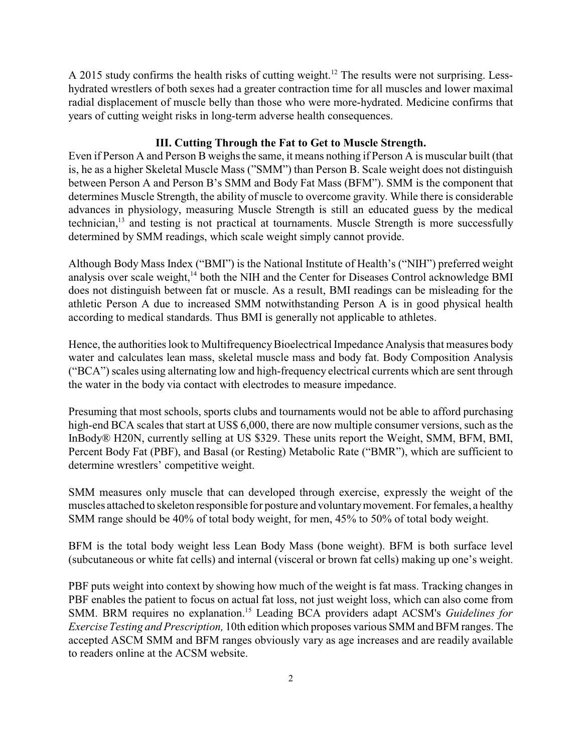A 2015 study confirms the health risks of cutting weight.<sup>12</sup> The results were not surprising. Lesshydrated wrestlers of both sexes had a greater contraction time for all muscles and lower maximal radial displacement of muscle belly than those who were more-hydrated. Medicine confirms that years of cutting weight risks in long-term adverse health consequences.

# **III. Cutting Through the Fat to Get to Muscle Strength.**

Even if Person A and Person B weighs the same, it means nothing if Person A is muscular built (that is, he as a higher Skeletal Muscle Mass ("SMM") than Person B. Scale weight does not distinguish between Person A and Person B's SMM and Body Fat Mass (BFM"). SMM is the component that determines Muscle Strength, the ability of muscle to overcome gravity. While there is considerable advances in physiology, measuring Muscle Strength is still an educated guess by the medical technician,<sup>13</sup> and testing is not practical at tournaments. Muscle Strength is more successfully determined by SMM readings, which scale weight simply cannot provide.

Although Body Mass Index ("BMI") is the National Institute of Health's ("NIH") preferred weight analysis over scale weight,<sup>14</sup> both the NIH and the Center for Diseases Control acknowledge BMI does not distinguish between fat or muscle. As a result, BMI readings can be misleading for the athletic Person A due to increased SMM notwithstanding Person A is in good physical health according to medical standards. Thus BMI is generally not applicable to athletes.

Hence, the authorities look to Multifrequency Bioelectrical Impedance Analysis that measures body water and calculates lean mass, skeletal muscle mass and body fat. Body Composition Analysis ("BCA") scales using alternating low and high-frequency electrical currents which are sent through the water in the body via contact with electrodes to measure impedance.

Presuming that most schools, sports clubs and tournaments would not be able to afford purchasing high-end BCA scales that start at US\$ 6,000, there are now multiple consumer versions, such as the InBody® H20N, currently selling at US \$329. These units report the Weight, SMM, BFM, BMI, Percent Body Fat (PBF), and Basal (or Resting) Metabolic Rate ("BMR"), which are sufficient to determine wrestlers' competitive weight.

SMM measures only muscle that can developed through exercise, expressly the weight of the muscles attached to skeleton responsible for posture and voluntarymovement. For females, a healthy SMM range should be 40% of total body weight, for men, 45% to 50% of total body weight.

BFM is the total body weight less Lean Body Mass (bone weight). BFM is both surface level (subcutaneous or white fat cells) and internal (visceral or brown fat cells) making up one's weight.

PBF puts weight into context by showing how much of the weight is fat mass. Tracking changes in PBF enables the patient to focus on actual fat loss, not just weight loss, which can also come from SMM. BRM requires no explanation.<sup>15</sup> Leading BCA providers adapt ACSM's *Guidelines for Exercise Testing and Prescription,* 10th edition which proposes various SMM and BFM ranges. The accepted ASCM SMM and BFM ranges obviously vary as age increases and are readily available to readers online at the ACSM website.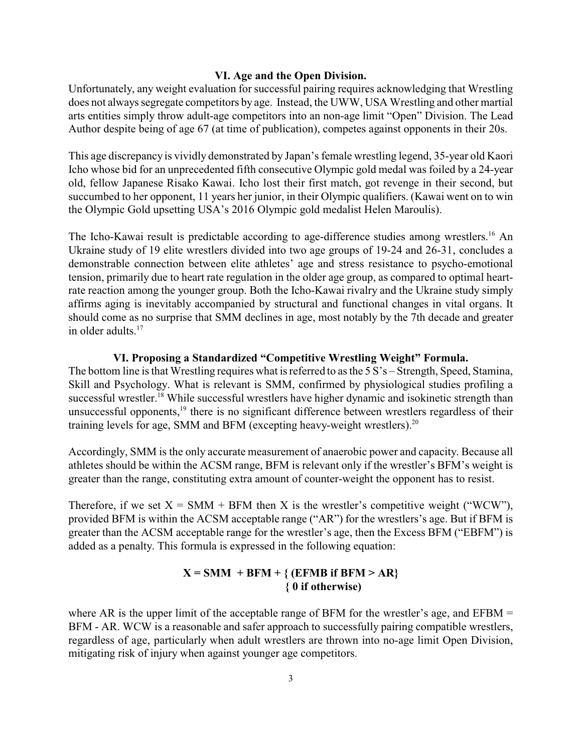#### **VI. Age and the Open Division.**

Unfortunately, any weight evaluation for successful pairing requires acknowledging that Wrestling does not always segregate competitors by age. Instead, the UWW, USA Wrestling and other martial arts entities simply throw adult-age competitors into an non-age limit "Open" Division. The Lead Author despite being of age 67 (at time of publication), competes against opponents in their 20s.

This age discrepancy is vividly demonstrated by Japan's female wrestling legend, 35-year old Kaori Icho whose bid for an unprecedented fifth consecutive Olympic gold medal was foiled by a 24-year old, fellow Japanese Risako Kawai. Icho lost their first match, got revenge in their second, but succumbed to her opponent, 11 years her junior, in their Olympic qualifiers. (Kawai went on to win the Olympic Gold upsetting USA's 2016 Olympic gold medalist Helen Maroulis).

The Icho-Kawai result is predictable according to age-difference studies among wrestlers.<sup>16</sup> An Ukraine study of 19 elite wrestlers divided into two age groups of 19-24 and 26-31, concludes a demonstrable connection between elite athletes' age and stress resistance to psycho-emotional tension, primarily due to heart rate regulation in the older age group, as compared to optimal heartrate reaction among the younger group. Both the Icho-Kawai rivalry and the Ukraine study simply affirms aging is inevitably accompanied by structural and functional changes in vital organs. It should come as no surprise that SMM declines in age, most notably by the 7th decade and greater in older adults.<sup>17</sup>

## **VI. Proposing a Standardized "Competitive Wrestling Weight" Formula.**

The bottom line is that Wrestling requires what is referred to as the 5 S's – Strength, Speed, Stamina, Skill and Psychology. What is relevant is SMM, confirmed by physiological studies profiling a successful wrestler.<sup>18</sup> While successful wrestlers have higher dynamic and isokinetic strength than unsuccessful opponents,<sup>19</sup> there is no significant difference between wrestlers regardless of their training levels for age, SMM and BFM (excepting heavy-weight wrestlers).<sup>20</sup>

Accordingly, SMM is the only accurate measurement of anaerobic power and capacity. Because all athletes should be within the ACSM range, BFM is relevant only if the wrestler's BFM's weight is greater than the range, constituting extra amount of counter-weight the opponent has to resist.

Therefore, if we set  $X = SMM + BFM$  then X is the wrestler's competitive weight ("WCW"), provided BFM is within the ACSM acceptable range ("AR") for the wrestlers's age. But if BFM is greater than the ACSM acceptable range for the wrestler's age, then the Excess BFM ("EBFM") is added as a penalty. This formula is expressed in the following equation:

# $X = SMM + BFM + \{ (EFMB if BFM > AR \}$  **{ 0 if otherwise)**

where AR is the upper limit of the acceptable range of BFM for the wrestler's age, and  $EFBM =$ BFM - AR. WCW is a reasonable and safer approach to successfully pairing compatible wrestlers, regardless of age, particularly when adult wrestlers are thrown into no-age limit Open Division, mitigating risk of injury when against younger age competitors.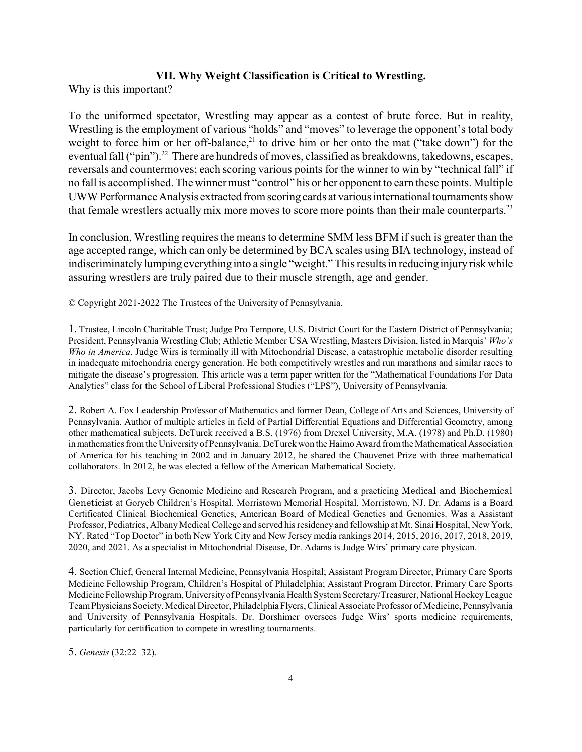### **VII. Why Weight Classification is Critical to Wrestling.**

Why is this important?

To the uniformed spectator, Wrestling may appear as a contest of brute force. But in reality, Wrestling is the employment of various "holds" and "moves" to leverage the opponent's total body weight to force him or her off-balance,<sup>21</sup> to drive him or her onto the mat ("take down") for the eventual fall ("pin").<sup>22</sup> There are hundreds of moves, classified as breakdowns, takedowns, escapes, reversals and countermoves; each scoring various points for the winner to win by "technical fall" if no fall is accomplished. The winner must "control" his or her opponent to earn these points. Multiple UWW Performance Analysis extracted from scoring cards at various international tournaments show that female wrestlers actually mix more moves to score more points than their male counterparts.<sup>23</sup>

In conclusion, Wrestling requires the means to determine SMM less BFM if such is greater than the age accepted range, which can only be determined by BCA scales using BIA technology, instead of indiscriminatelylumping everything into a single "weight." This results in reducing injuryrisk while assuring wrestlers are truly paired due to their muscle strength, age and gender.

© Copyright 2021-2022 The Trustees of the University of Pennsylvania.

1. Trustee, Lincoln Charitable Trust; Judge Pro Tempore, U.S. District Court for the Eastern District of Pennsylvania; President, Pennsylvania Wrestling Club; Athletic Member USA Wrestling, Masters Division, listed in Marquis' *Who's Who in America*. Judge Wirs is terminally ill with Mitochondrial Disease, a catastrophic metabolic disorder resulting in inadequate mitochondria energy generation. He both competitively wrestles and run marathons and similar races to mitigate the disease's progression. This article was a term paper written for the "Mathematical Foundations For Data Analytics" class for the School of Liberal Professional Studies ("LPS"), University of Pennsylvania.

2. Robert A. Fox Leadership Professor of Mathematics and former Dean, College of Arts and Sciences, University of Pennsylvania. Author of multiple articles in field of Partial Differential Equations and Differential Geometry, among other mathematical subjects. DeTurck received a B.S. (1976) from Drexel University, M.A. (1978) and Ph.D. (1980) inmathematics fromthe University of Pennsylvania. DeTurck won the Haimo Award fromthe Mathematical Association of America for his teaching in 2002 and in January 2012, he shared the Chauvenet Prize with three mathematical collaborators. In 2012, he was elected a fellow of the American Mathematical Society.

3. Director, Jacobs Levy Genomic Medicine and Research Program, and a practicing Medical and Biochemical Geneticist at Goryeb Children's Hospital, Morristown Memorial Hospital, Morristown, NJ. Dr. Adams is a Board Certificated Clinical Biochemical Genetics, American Board of Medical Genetics and Genomics. Was a Assistant Professor, Pediatrics, Albany Medical College and served his residency and fellowship at Mt. Sinai Hospital, New York, NY. Rated "Top Doctor" in both New York City and New Jersey media rankings 2014, 2015, 2016, 2017, 2018, 2019, 2020, and 2021. As a specialist in Mitochondrial Disease, Dr. Adams is Judge Wirs' primary care physican.

4. Section Chief, General Internal Medicine, Pennsylvania Hospital; Assistant Program Director, Primary Care Sports Medicine Fellowship Program, Children's Hospital of Philadelphia; Assistant Program Director, Primary Care Sports Medicine Fellowship Program, UniversityofPennsylvania Health SystemSecretary/Treasurer, National HockeyLeague Team Physicians Society. Medical Director, Philadelphia Flyers, Clinical Associate Professor of Medicine, Pennsylvania and University of Pennsylvania Hospitals. Dr. Dorshimer oversees Judge Wirs' sports medicine requirements, particularly for certification to compete in wrestling tournaments.

5. *Genesis* (32:22–32).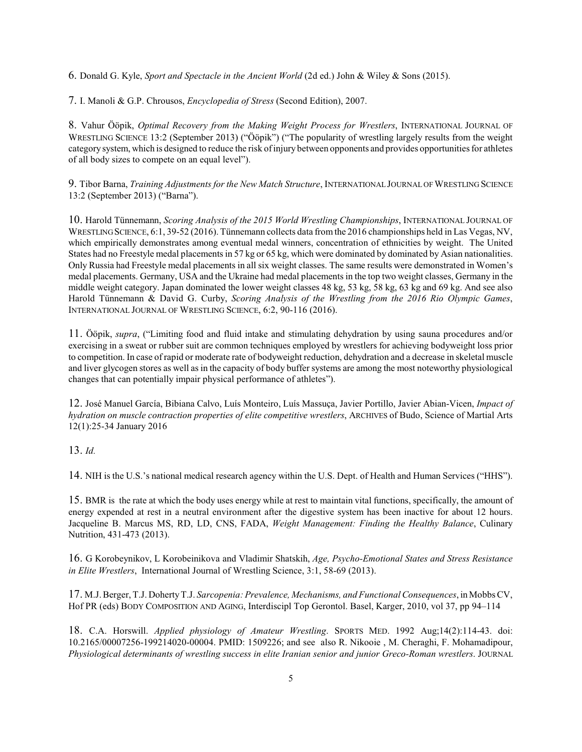6. Donald G. Kyle, *Sport and Spectacle in the Ancient World* (2d ed.) John & Wiley & Sons (2015).

7. I. Manoli & G.P. Chrousos, *Encyclopedia of Stress* (Second Edition), 2007.

8. Vahur Ööpik, *Optimal Recovery from the Making Weight Process for Wrestlers*, INTERNATIONAL JOURNAL OF WRESTLING SCIENCE 13:2 (September 2013) ("Ööpik") ("The popularity of wrestling largely results from the weight category system, which is designed to reduce the risk ofinjury between opponents and provides opportunities for athletes of all body sizes to compete on an equal level").

9. Tibor Barna, *Training Adjustments for the New Match Structure*, INTERNATIONAL JOURNAL OFWRESTLING SCIENCE 13:2 (September 2013) ("Barna").

10. Harold Tünnemann, *Scoring Analysis of the 2015 World Wrestling Championships*, INTERNATIONAL JOURNAL OF WRESTLING SCIENCE, 6:1, 39-52 (2016). Tünnemann collects data fromthe 2016 championships held in Las Vegas, NV, which empirically demonstrates among eventual medal winners, concentration of ethnicities by weight. The United States had no Freestyle medal placements in 57 kg or 65 kg, which were dominated by dominated by Asian nationalities. Only Russia had Freestyle medal placements in all six weight classes. The same results were demonstrated in Women's medal placements. Germany, USA and the Ukraine had medal placements in the top two weight classes, Germany in the middle weight category. Japan dominated the lower weight classes 48 kg, 53 kg, 58 kg, 63 kg and 69 kg. And see also Harold Tünnemann & David G. Curby, *Scoring Analysis of the Wrestling from the 2016 Rio Olympic Games*, INTERNATIONAL JOURNAL OF WRESTLING SCIENCE, 6:2, 90-116 (2016).

11. Ööpik, *supra*, ("Limiting food and fluid intake and stimulating dehydration by using sauna procedures and/or exercising in a sweat or rubber suit are common techniques employed by wrestlers for achieving bodyweight loss prior to competition. In case of rapid or moderate rate of bodyweight reduction, dehydration and a decrease in skeletal muscle and liver glycogen stores as well as in the capacity of body buffer systems are among the most noteworthy physiological changes that can potentially impair physical performance of athletes").

12. José Manuel García, Bibiana Calvo, Luís Monteiro, Luís Massuça, Javier Portillo, Javier Abian-Vicen, *Impact of hydration on muscle contraction properties of elite competitive wrestlers*, ARCHIVES of Budo, Science of Martial Arts 12(1):25-34 January 2016

13. *Id.*

14. NIH is the U.S.'s national medical research agency within the U.S. Dept. of Health and Human Services ("HHS").

15. BMR is the rate at which the body uses energy while at rest to maintain vital functions, specifically, the amount of energy expended at rest in a neutral environment after the digestive system has been inactive for about 12 hours. Jacqueline B. Marcus MS, RD, LD, CNS, FADA, *Weight Management: Finding the Healthy Balance*, Culinary Nutrition, 431-473 (2013).

16. G Korobeynikov, L Korobeinikova and Vladimir Shatskih, *Age, Psycho-Emotional States and Stress Resistance in Elite Wrestlers*, International Journal of Wrestling Science, 3:1, 58-69 (2013).

17. M.J. Berger, T.J. DohertyT.J. *Sarcopenia: Prevalence, Mechanisms, and Functional Consequences*, in Mobbs CV, Hof PR (eds) BODY COMPOSITION AND AGING, Interdiscipl Top Gerontol. Basel, Karger, 2010, vol 37, pp 94–114

18. C.A. Horswill. *Applied physiology of Amateur Wrestling*. SPORTS MED. 1992 Aug;14(2):114-43. doi: 10.2165/00007256-199214020-00004. PMID: 1509226; and see also R. Nikooie , M. Cheraghi, F. Mohamadipour, *Physiological determinants of wrestling success in elite Iranian senior and junior Greco-Roman wrestlers*. JOURNAL